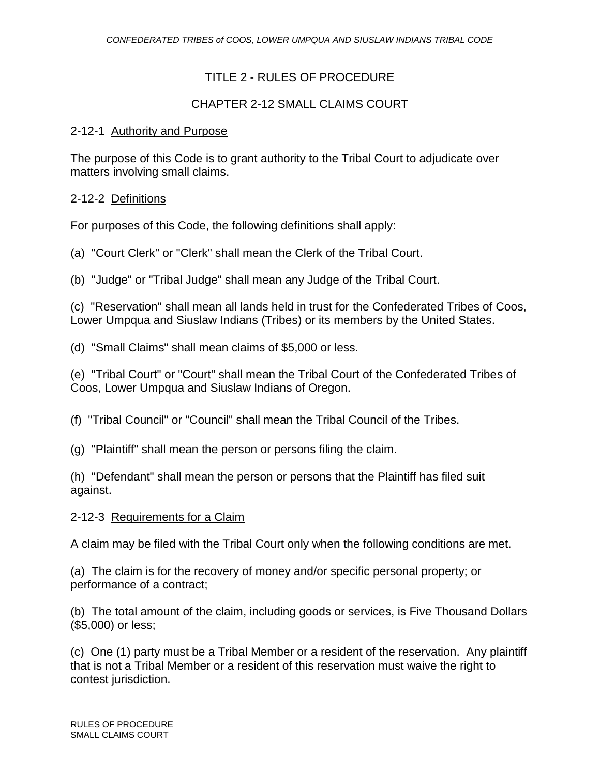# TITLE 2 - RULES OF PROCEDURE

# CHAPTER 2-12 SMALL CLAIMS COURT

#### 2-12-1 Authority and Purpose

The purpose of this Code is to grant authority to the Tribal Court to adjudicate over matters involving small claims.

#### 2-12-2 Definitions

For purposes of this Code, the following definitions shall apply:

- (a) "Court Clerk" or "Clerk" shall mean the Clerk of the Tribal Court.
- (b) "Judge" or "Tribal Judge" shall mean any Judge of the Tribal Court.

(c) "Reservation" shall mean all lands held in trust for the Confederated Tribes of Coos, Lower Umpqua and Siuslaw Indians (Tribes) or its members by the United States.

(d) "Small Claims" shall mean claims of \$5,000 or less.

(e) "Tribal Court" or "Court" shall mean the Tribal Court of the Confederated Tribes of Coos, Lower Umpqua and Siuslaw Indians of Oregon.

(f) "Tribal Council" or "Council" shall mean the Tribal Council of the Tribes.

(g) "Plaintiff" shall mean the person or persons filing the claim.

(h) "Defendant" shall mean the person or persons that the Plaintiff has filed suit against.

#### 2-12-3 Requirements for a Claim

A claim may be filed with the Tribal Court only when the following conditions are met.

(a) The claim is for the recovery of money and/or specific personal property; or performance of a contract;

(b) The total amount of the claim, including goods or services, is Five Thousand Dollars (\$5,000) or less;

(c) One (1) party must be a Tribal Member or a resident of the reservation. Any plaintiff that is not a Tribal Member or a resident of this reservation must waive the right to contest jurisdiction.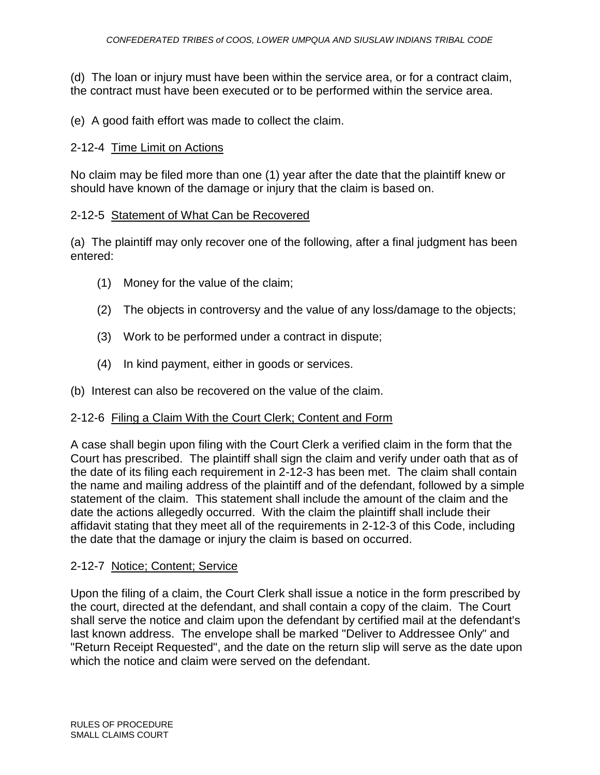(d) The loan or injury must have been within the service area, or for a contract claim, the contract must have been executed or to be performed within the service area.

(e) A good faith effort was made to collect the claim.

# 2-12-4 Time Limit on Actions

No claim may be filed more than one (1) year after the date that the plaintiff knew or should have known of the damage or injury that the claim is based on.

#### 2-12-5 Statement of What Can be Recovered

(a) The plaintiff may only recover one of the following, after a final judgment has been entered:

- (1) Money for the value of the claim;
- (2) The objects in controversy and the value of any loss/damage to the objects;
- (3) Work to be performed under a contract in dispute;
- (4) In kind payment, either in goods or services.
- (b) Interest can also be recovered on the value of the claim.

#### 2-12-6 Filing a Claim With the Court Clerk; Content and Form

A case shall begin upon filing with the Court Clerk a verified claim in the form that the Court has prescribed. The plaintiff shall sign the claim and verify under oath that as of the date of its filing each requirement in 2-12-3 has been met. The claim shall contain the name and mailing address of the plaintiff and of the defendant, followed by a simple statement of the claim. This statement shall include the amount of the claim and the date the actions allegedly occurred. With the claim the plaintiff shall include their affidavit stating that they meet all of the requirements in 2-12-3 of this Code, including the date that the damage or injury the claim is based on occurred.

#### 2-12-7 Notice; Content; Service

Upon the filing of a claim, the Court Clerk shall issue a notice in the form prescribed by the court, directed at the defendant, and shall contain a copy of the claim. The Court shall serve the notice and claim upon the defendant by certified mail at the defendant's last known address. The envelope shall be marked "Deliver to Addressee Only" and "Return Receipt Requested", and the date on the return slip will serve as the date upon which the notice and claim were served on the defendant.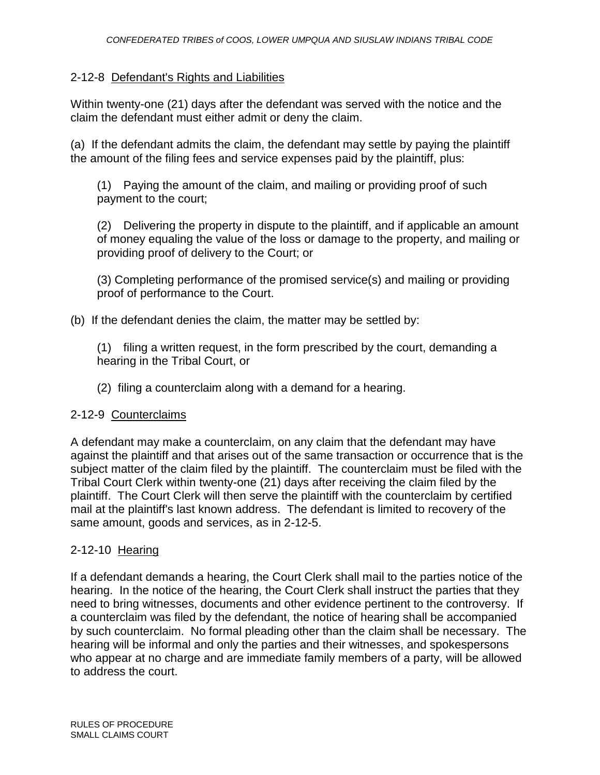# 2-12-8 Defendant's Rights and Liabilities

Within twenty-one (21) days after the defendant was served with the notice and the claim the defendant must either admit or deny the claim.

(a) If the defendant admits the claim, the defendant may settle by paying the plaintiff the amount of the filing fees and service expenses paid by the plaintiff, plus:

(1) Paying the amount of the claim, and mailing or providing proof of such payment to the court;

(2) Delivering the property in dispute to the plaintiff, and if applicable an amount of money equaling the value of the loss or damage to the property, and mailing or providing proof of delivery to the Court; or

(3) Completing performance of the promised service(s) and mailing or providing proof of performance to the Court.

#### (b) If the defendant denies the claim, the matter may be settled by:

(1) filing a written request, in the form prescribed by the court, demanding a hearing in the Tribal Court, or

(2) filing a counterclaim along with a demand for a hearing.

#### 2-12-9 Counterclaims

A defendant may make a counterclaim, on any claim that the defendant may have against the plaintiff and that arises out of the same transaction or occurrence that is the subject matter of the claim filed by the plaintiff. The counterclaim must be filed with the Tribal Court Clerk within twenty-one (21) days after receiving the claim filed by the plaintiff. The Court Clerk will then serve the plaintiff with the counterclaim by certified mail at the plaintiff's last known address. The defendant is limited to recovery of the same amount, goods and services, as in 2-12-5.

#### 2-12-10 Hearing

If a defendant demands a hearing, the Court Clerk shall mail to the parties notice of the hearing. In the notice of the hearing, the Court Clerk shall instruct the parties that they need to bring witnesses, documents and other evidence pertinent to the controversy. If a counterclaim was filed by the defendant, the notice of hearing shall be accompanied by such counterclaim. No formal pleading other than the claim shall be necessary. The hearing will be informal and only the parties and their witnesses, and spokespersons who appear at no charge and are immediate family members of a party, will be allowed to address the court.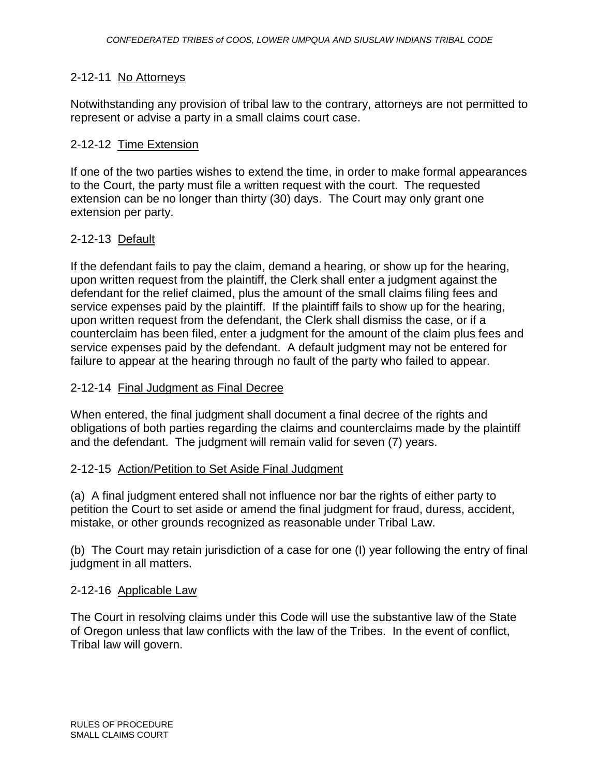### 2-12-11 No Attorneys

Notwithstanding any provision of tribal law to the contrary, attorneys are not permitted to represent or advise a party in a small claims court case.

#### 2-12-12 Time Extension

If one of the two parties wishes to extend the time, in order to make formal appearances to the Court, the party must file a written request with the court. The requested extension can be no longer than thirty (30) days. The Court may only grant one extension per party.

#### 2-12-13 Default

If the defendant fails to pay the claim, demand a hearing, or show up for the hearing, upon written request from the plaintiff, the Clerk shall enter a judgment against the defendant for the relief claimed, plus the amount of the small claims filing fees and service expenses paid by the plaintiff. If the plaintiff fails to show up for the hearing, upon written request from the defendant, the Clerk shall dismiss the case, or if a counterclaim has been filed, enter a judgment for the amount of the claim plus fees and service expenses paid by the defendant. A default judgment may not be entered for failure to appear at the hearing through no fault of the party who failed to appear.

#### 2-12-14 Final Judgment as Final Decree

When entered, the final judgment shall document a final decree of the rights and obligations of both parties regarding the claims and counterclaims made by the plaintiff and the defendant. The judgment will remain valid for seven (7) years.

#### 2-12-15 Action/Petition to Set Aside Final Judgment

(a) A final judgment entered shall not influence nor bar the rights of either party to petition the Court to set aside or amend the final judgment for fraud, duress, accident, mistake, or other grounds recognized as reasonable under Tribal Law.

(b) The Court may retain jurisdiction of a case for one (I) year following the entry of final judgment in all matters.

#### 2-12-16 Applicable Law

The Court in resolving claims under this Code will use the substantive law of the State of Oregon unless that law conflicts with the law of the Tribes. In the event of conflict, Tribal law will govern.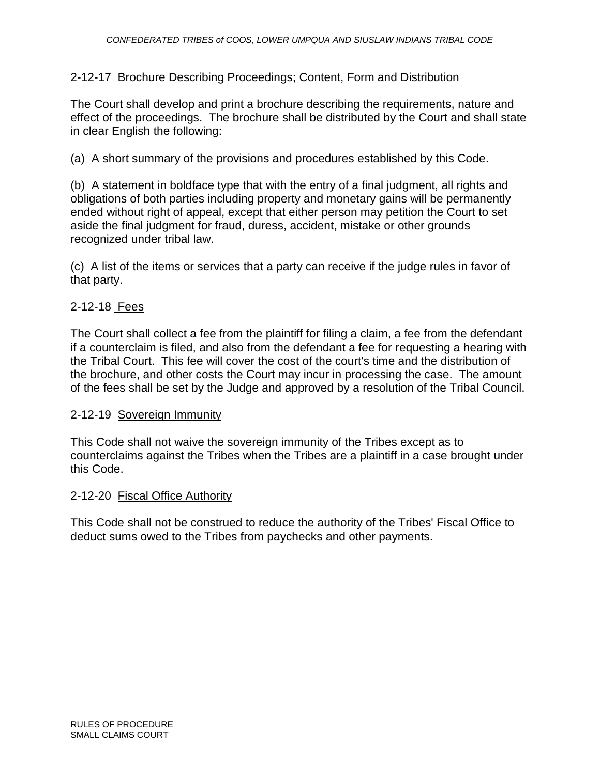## 2-12-17 Brochure Describing Proceedings; Content, Form and Distribution

The Court shall develop and print a brochure describing the requirements, nature and effect of the proceedings. The brochure shall be distributed by the Court and shall state in clear English the following:

(a) A short summary of the provisions and procedures established by this Code.

(b) A statement in boldface type that with the entry of a final judgment, all rights and obligations of both parties including property and monetary gains will be permanently ended without right of appeal, except that either person may petition the Court to set aside the final judgment for fraud, duress, accident, mistake or other grounds recognized under tribal law.

(c) A list of the items or services that a party can receive if the judge rules in favor of that party.

#### 2-12-18 Fees

The Court shall collect a fee from the plaintiff for filing a claim, a fee from the defendant if a counterclaim is filed, and also from the defendant a fee for requesting a hearing with the Tribal Court. This fee will cover the cost of the court's time and the distribution of the brochure, and other costs the Court may incur in processing the case. The amount of the fees shall be set by the Judge and approved by a resolution of the Tribal Council.

#### 2-12-19 Sovereign Immunity

This Code shall not waive the sovereign immunity of the Tribes except as to counterclaims against the Tribes when the Tribes are a plaintiff in a case brought under this Code.

#### 2-12-20 Fiscal Office Authority

This Code shall not be construed to reduce the authority of the Tribes' Fiscal Office to deduct sums owed to the Tribes from paychecks and other payments.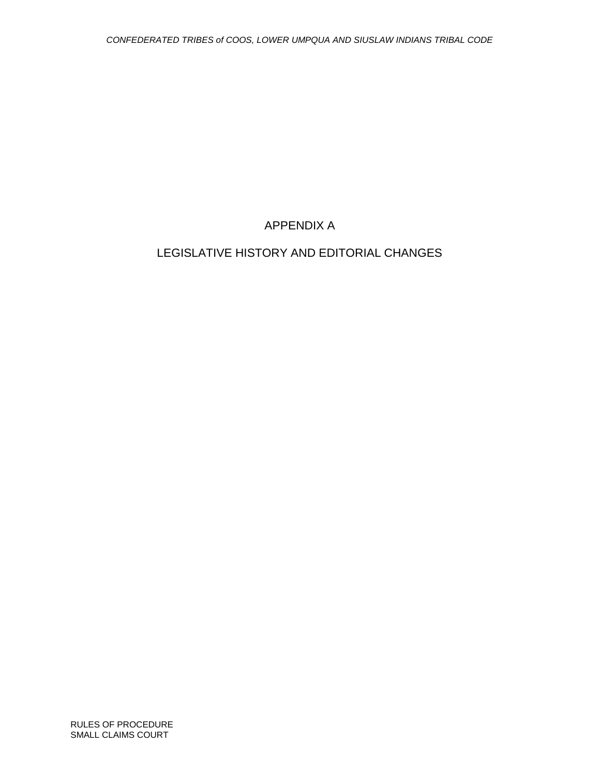# APPENDIX A

# LEGISLATIVE HISTORY AND EDITORIAL CHANGES

RULES OF PROCEDURE SMALL CLAIMS COURT